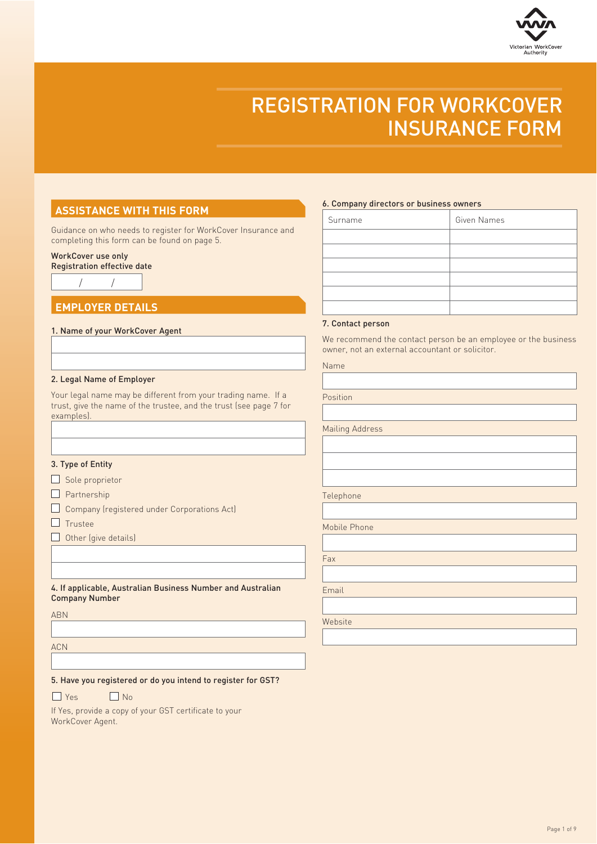

## REGISTRATION FOR WORKCOVER INSURANCE FORM

### **ASSISTANCE WITH THIS FORM**

Guidance on who needs to register for WorkCover Insurance and completing this form can be found on page 5.

### WorkCover use only

/ / Registration effective date

# **EMPLOYER DETAILS**

### 1. Name of your WorkCover Agent

#### 2. Legal Name of Employer

Your legal name may be different from your trading name. If a trust, give the name of the trustee, and the trust (see page 7 for examples).

#### 3. Type of Entity

 $\Box$  Sole proprietor

- $\Box$  Partnership
- Company (registered under Corporations Act)
- $\Box$  Trustee
- $\Box$  Other (give details)

4. If applicable, Australian Business Number and Australian Company Number

ABN

ACN

5. Have you registered or do you intend to register for GST?

- $\Box$  Yes  $\Box$  No
	-

If Yes, provide a copy of your GST certificate to your WorkCover Agent.

#### 6. Company directors or business owners

| Surname | Given Names |
|---------|-------------|
|         |             |
|         |             |
|         |             |
|         |             |
|         |             |
|         |             |

#### 7. Contact person

We recommend the contact person be an employee or the business owner, not an external accountant or solicitor.

| Name |  |  |  |  |
|------|--|--|--|--|
|------|--|--|--|--|

Position

Mailing Address

Telephone

Mobile Phone

Fax

Email

Website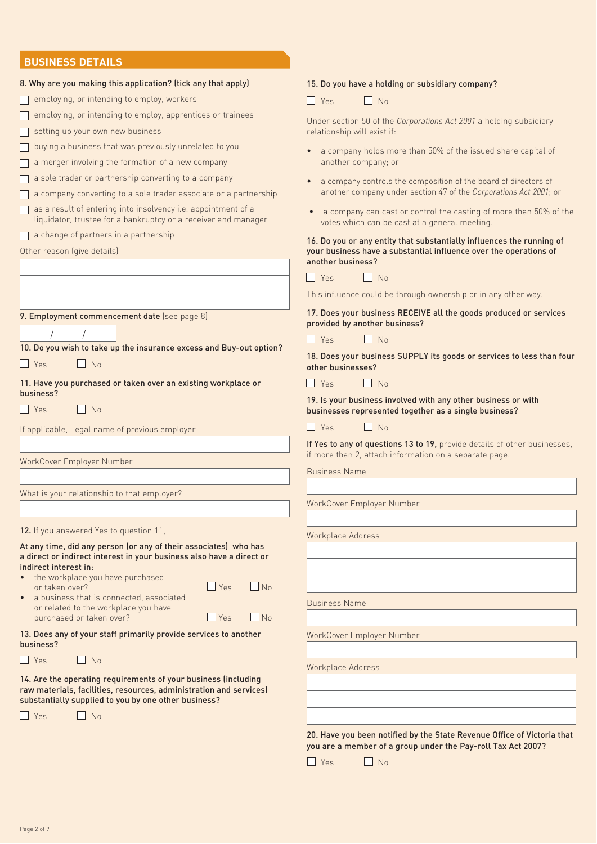### **BUSINESS DETAILS**

| 8. Why are you making this application? (tick any that apply)<br>employing, or intending to employ, workers                     | 15. Do you have a holding or subsidiary company?                                                                                                                |
|---------------------------------------------------------------------------------------------------------------------------------|-----------------------------------------------------------------------------------------------------------------------------------------------------------------|
| employing, or intending to employ, apprentices or trainees                                                                      | $\Box$ No<br>$\vert \vert$ Yes<br>Under section 50 of the Corporations Act 2001 a holding subsidiary                                                            |
| setting up your own new business<br>buying a business that was previously unrelated to you                                      | relationship will exist if:<br>a company holds more than 50% of the issued share capital of                                                                     |
| a merger involving the formation of a new company                                                                               | another company; or                                                                                                                                             |
| a sole trader or partnership converting to a company<br>a company converting to a sole trader associate or a partnership        | a company controls the composition of the board of directors of<br>another company under section 47 of the Corporations Act 2001; or                            |
| as a result of entering into insolvency i.e. appointment of a<br>liquidator, trustee for a bankruptcy or a receiver and manager | a company can cast or control the casting of more than 50% of the<br>votes which can be cast at a general meeting.                                              |
| a change of partners in a partnership<br>Other reason (give details)                                                            | 16. Do you or any entity that substantially influences the running of<br>your business have a substantial influence over the operations of<br>another business? |
|                                                                                                                                 | $ $ Yes<br>N <sub>0</sub>                                                                                                                                       |
|                                                                                                                                 | This influence could be through ownership or in any other way.                                                                                                  |
| 9. Employment commencement date (see page 8)                                                                                    | 17. Does your business RECEIVE all the goods produced or services<br>provided by another business?                                                              |
| 10. Do you wish to take up the insurance excess and Buy-out option?                                                             | $\blacksquare$ Yes<br>$\Box$ No                                                                                                                                 |
| $\Box$ Yes<br>$\Box$ No                                                                                                         | 18. Does your business SUPPLY its goods or services to less than four<br>other businesses?                                                                      |
| 11. Have you purchased or taken over an existing workplace or<br>business?                                                      | $\blacksquare$ Yes<br>$\blacksquare$ No                                                                                                                         |
| $\Box$ Yes<br>$N_0$                                                                                                             | 19. Is your business involved with any other business or with<br>businesses represented together as a single business?                                          |
| If applicable, Legal name of previous employer                                                                                  | $\Box$ Yes<br>$\Box$ No                                                                                                                                         |
|                                                                                                                                 | If Yes to any of questions 13 to 19, provide details of other businesses,<br>if more than 2, attach information on a separate page.                             |
| WorkCover Employer Number                                                                                                       | <b>Business Name</b>                                                                                                                                            |
| What is your relationship to that employer?                                                                                     |                                                                                                                                                                 |
|                                                                                                                                 | WorkCover Employer Number                                                                                                                                       |
| 12. If you answered Yes to question 11,                                                                                         |                                                                                                                                                                 |
| At any time, did any person (or any of their associates) who has                                                                | Workplace Address                                                                                                                                               |
| a direct or indirect interest in your business also have a direct or<br>indirect interest in:                                   |                                                                                                                                                                 |
| the workplace you have purchased<br>$\Box$ Yes<br>$N_0$<br>or taken over?                                                       |                                                                                                                                                                 |
| a business that is connected, associated                                                                                        | <b>Business Name</b>                                                                                                                                            |
| or related to the workplace you have<br>$\Box$ Yes<br>$\Box$ No<br>purchased or taken over?                                     |                                                                                                                                                                 |
| 13. Does any of your staff primarily provide services to another<br>business?                                                   | WorkCover Employer Number                                                                                                                                       |
| $N_0$<br>II Yes                                                                                                                 |                                                                                                                                                                 |
| 14. Are the operating requirements of your business (including                                                                  | Workplace Address                                                                                                                                               |
| raw materials, facilities, resources, administration and services)<br>substantially supplied to you by one other business?      |                                                                                                                                                                 |
| $\Box$ No<br>$\blacksquare$<br>Yes                                                                                              |                                                                                                                                                                 |
|                                                                                                                                 |                                                                                                                                                                 |
|                                                                                                                                 | 20. Have you been notified by the State Revenue Office of Victoria that<br>you are a member of a group under the Pay-roll Tax Act 2007?                         |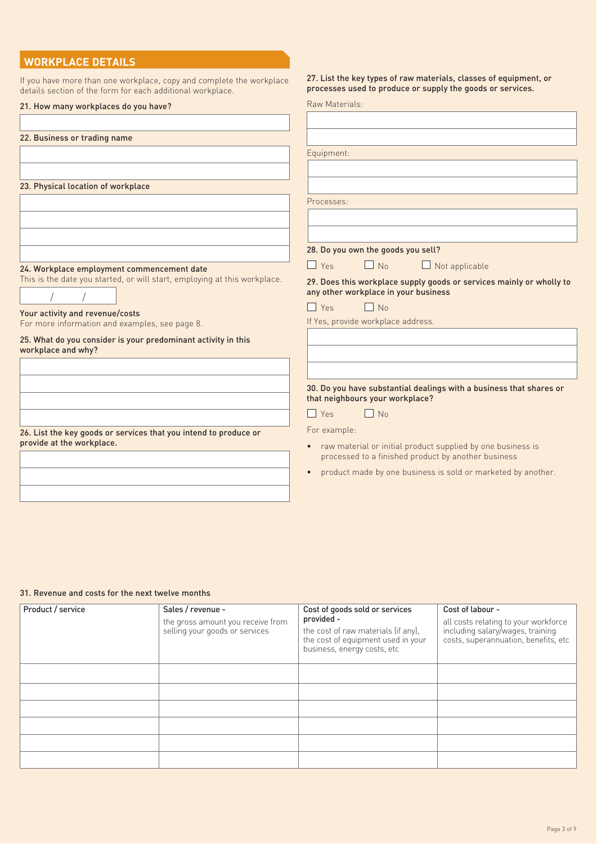### **WORKPLACE DETAILS**

If you have more than one workplace, copy and complete the workplace details section of the form for each additional workplace.

#### 27. List the key types of raw materials, classes of equipment, or processes used to produce or supply the goods or services.

| 21. How many workplaces do you have?                                      | Raw Materials:                                                                                               |
|---------------------------------------------------------------------------|--------------------------------------------------------------------------------------------------------------|
|                                                                           |                                                                                                              |
|                                                                           |                                                                                                              |
| 22. Business or trading name                                              |                                                                                                              |
|                                                                           | Equipment:                                                                                                   |
|                                                                           |                                                                                                              |
|                                                                           |                                                                                                              |
| 23. Physical location of workplace                                        |                                                                                                              |
|                                                                           | Processes:                                                                                                   |
|                                                                           |                                                                                                              |
|                                                                           |                                                                                                              |
|                                                                           |                                                                                                              |
|                                                                           | 28. Do you own the goods you sell?                                                                           |
| 24. Workplace employment commencement date                                | $\Box$ No<br>$\Box$ Yes<br>$\Box$ Not applicable                                                             |
| This is the date you started, or will start, employing at this workplace. |                                                                                                              |
|                                                                           | 29. Does this workplace supply goods or services mainly or wholly to<br>any other workplace in your business |
|                                                                           |                                                                                                              |
| Your activity and revenue/costs                                           | $\Box$ No<br>$\Box$ Yes                                                                                      |
| For more information and examples, see page 8.                            | If Yes, provide workplace address.                                                                           |
| 25. What do you consider is your predominant activity in this             |                                                                                                              |
| workplace and why?                                                        |                                                                                                              |
|                                                                           |                                                                                                              |
|                                                                           |                                                                                                              |
|                                                                           | 30. Do you have substantial dealings with a business that shares or                                          |
|                                                                           | that neighbours your workplace?                                                                              |
|                                                                           | $\Box$ No<br>$\Box$ Yes                                                                                      |
|                                                                           |                                                                                                              |
| 26. List the key goods or services that you intend to produce or          | For example:                                                                                                 |
| provide at the workplace.                                                 | raw material or initial product supplied by one business is<br>$\bullet$                                     |
|                                                                           | processed to a finished product by another business                                                          |
|                                                                           | product made by one business is sold or marketed by another.<br>$\bullet$                                    |
|                                                                           |                                                                                                              |
|                                                                           |                                                                                                              |

#### 31. Revenue and costs for the next twelve months

| Product / service | Sales / revenue -<br>the gross amount you receive from<br>selling your goods or services | Cost of goods sold or services<br>provided -<br>the cost of raw materials (if any),<br>the cost of equipment used in your<br>business, energy costs, etc | Cost of labour -<br>all costs relating to your workforce<br>including salary/wages, training<br>costs, superannuation, benefits, etc |
|-------------------|------------------------------------------------------------------------------------------|----------------------------------------------------------------------------------------------------------------------------------------------------------|--------------------------------------------------------------------------------------------------------------------------------------|
|                   |                                                                                          |                                                                                                                                                          |                                                                                                                                      |
|                   |                                                                                          |                                                                                                                                                          |                                                                                                                                      |
|                   |                                                                                          |                                                                                                                                                          |                                                                                                                                      |
|                   |                                                                                          |                                                                                                                                                          |                                                                                                                                      |
|                   |                                                                                          |                                                                                                                                                          |                                                                                                                                      |
|                   |                                                                                          |                                                                                                                                                          |                                                                                                                                      |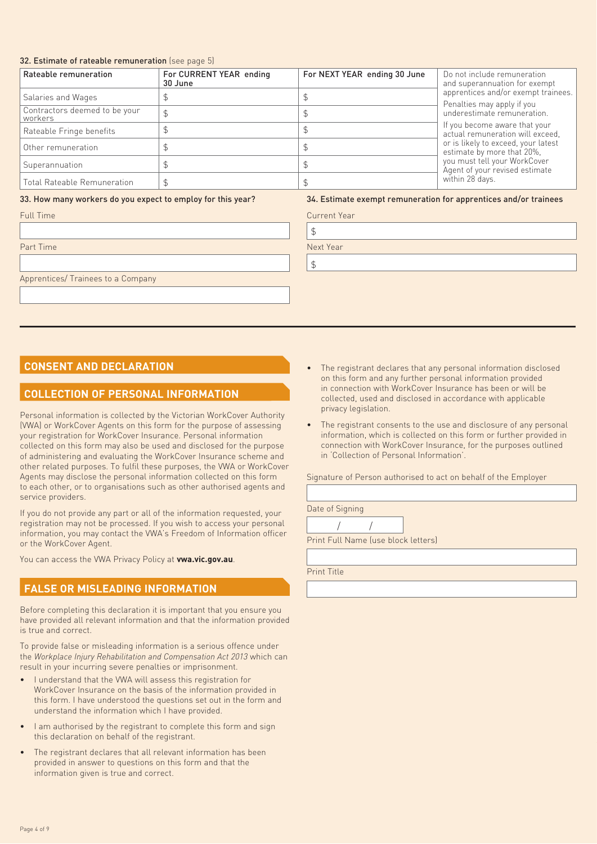#### 32. Estimate of rateable remuneration (see page 5)

| Rateable remuneration                    | For CURRENT YEAR ending<br>30 June | For NEXT YEAR ending 30 June | Do not include remuneration<br>and superannuation for exempt      |
|------------------------------------------|------------------------------------|------------------------------|-------------------------------------------------------------------|
| Salaries and Wages                       |                                    |                              | apprentices and/or exempt trainees.<br>Penalties may apply if you |
| Contractors deemed to be your<br>workers |                                    |                              | underestimate remuneration.                                       |
| Rateable Fringe benefits                 |                                    |                              | If you become aware that your<br>actual remuneration will exceed, |
| Other remuneration                       |                                    |                              | or is likely to exceed, your latest<br>estimate by more that 20%, |
| Superannuation                           |                                    |                              | you must tell your WorkCover<br>Agent of your revised estimate    |
| Total Rateable Remuneration              |                                    |                              | within 28 days.                                                   |

#### 33. How many workers do you expect to employ for this year?

34. Estimate exempt remuneration for apprentices and/or trainees

| Full Time                          | <b>Current Year</b> |
|------------------------------------|---------------------|
|                                    |                     |
| Part Time                          | Next Year           |
|                                    |                     |
| Apprentices/ Trainees to a Company |                     |
|                                    |                     |

### **CONSENT AND DECLARATION**

### **COLLECTION OF PERSONAL INFORMATION**

Personal information is collected by the Victorian WorkCover Authority (VWA) or WorkCover Agents on this form for the purpose of assessing your registration for WorkCover Insurance. Personal information collected on this form may also be used and disclosed for the purpose of administering and evaluating the WorkCover Insurance scheme and other related purposes. To fulfil these purposes, the VWA or WorkCover Agents may disclose the personal information collected on this form to each other, or to organisations such as other authorised agents and service providers.

If you do not provide any part or all of the information requested, your registration may not be processed. If you wish to access your personal information, you may contact the VWA's Freedom of Information officer or the WorkCover Agent.

You can access the VWA Privacy Policy at **vwa.vic.gov.au**.

### **FALSE OR MISLEADING INFORMATION**

Before completing this declaration it is important that you ensure you have provided all relevant information and that the information provided is true and correct.

To provide false or misleading information is a serious offence under the *Workplace Injury Rehabilitation and Compensation Act 2013* which can result in your incurring severe penalties or imprisonment.

- I understand that the VWA will assess this registration for WorkCover Insurance on the basis of the information provided in this form. I have understood the questions set out in the form and understand the information which I have provided.
- I am authorised by the registrant to complete this form and sign this declaration on behalf of the registrant.
- The registrant declares that all relevant information has been provided in answer to questions on this form and that the information given is true and correct.
- The registrant declares that any personal information disclosed on this form and any further personal information provided in connection with WorkCover Insurance has been or will be collected, used and disclosed in accordance with applicable privacy legislation.
- The registrant consents to the use and disclosure of any personal information, which is collected on this form or further provided in connection with WorkCover Insurance, for the purposes outlined in 'Collection of Personal Information'.

Signature of Person authorised to act on behalf of the Employer

/ / Date of Signing

Print Full Name (use block letters)

Print Title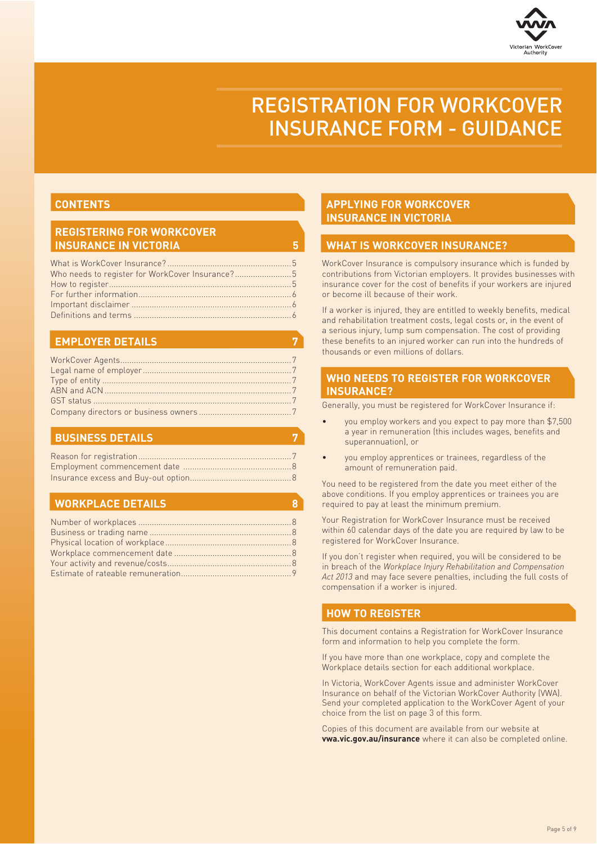

# REGISTRATION FOR WORKCOVER INSURANCE FORM - GUIDANCE

#### **CONTENTS CONTENTS**

# **REGISTERING FOR WORKCOVER**

| Who needs to register for WorkCover Insurance?5 |  |
|-------------------------------------------------|--|
|                                                 |  |
|                                                 |  |
|                                                 |  |
|                                                 |  |
|                                                 |  |

### **APPLYING FOR WORKCOVER INSURANCE IN VICTORIA**

 $\overline{5}$ 

7

7

 $\overline{\mathbf{8}}$ 

## **WHAT IS WORKCOVER INSURANCE?**

WorkCover Insurance is compulsory insurance which is funded by contributions from Victorian employers. It provides businesses with insurance cover for the cost of benefits if your workers are injured or become ill because of their work.

If a worker is injured, they are entitled to weekly benefits, medical and rehabilitation treatment costs, legal costs or, in the event of a serious injury, lump sum compensation. The cost of providing these benefits to an injured worker can run into the hundreds of thousands or even millions of dollars.

# WHO NEEDS TO REGISTER FOR WORKCOVER<br>**INSURANCE?**

**INSURANCE?** Generally, you must be registered for WorkCover Insurance if:

- you employ workers and you expect to pay more than \$7,500 a year in remuneration (this includes wages, benefits and superannuation), or
- you employ apprentices or trainees, regardless of the amount of remuneration paid.

You need to be registered from the date you meet either of the above conditions. If you employ apprentices or trainees you are required to pay at least the minimum premium.

Your Registration for WorkCover Insurance must be received within 60 calendar days of the date you are required by law to be registered for WorkCover Insurance.

If you don't register when required, you will be considered to be in breach of the *Workplace Injury Rehabilitation and Compensation Act 2013* and may face severe penalties, including the full costs of compensation if a worker is injured.

### **HOW TO REGISTER**

This document contains a Registration for WorkCover Insurance form and information to help you complete the form.

If you have more than one workplace, copy and complete the Workplace details section for each additional workplace.

In Victoria, WorkCover Agents issue and administer WorkCover Insurance on behalf of the Victorian WorkCover Authority (VWA). Send your completed application to the WorkCover Agent of your choice from the list on page 3 of this form.

Copies of this document are available from our website at **vwa.vic.gov.au/insurance** where it can also be completed online.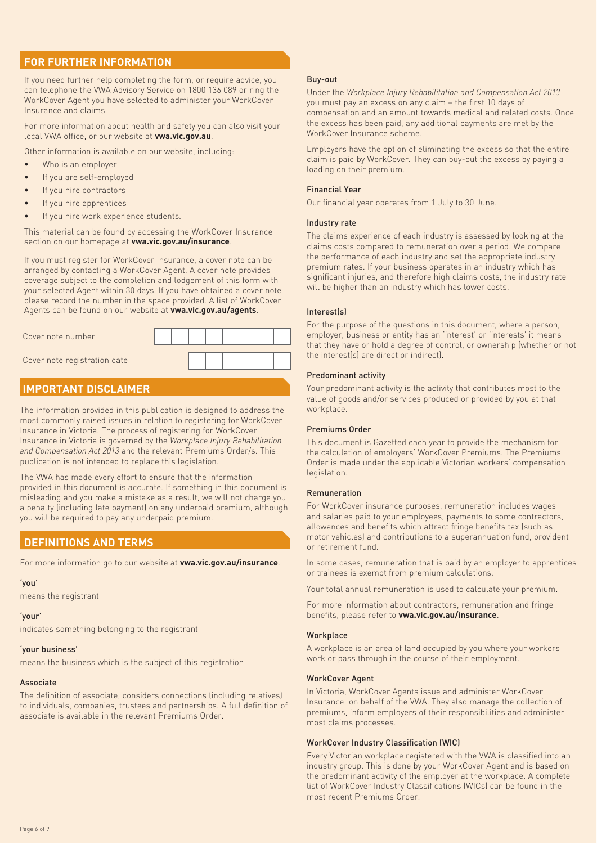### **FOR FURTHER INFORMATION**

If you need further help completing the form, or require advice, you can telephone the VWA Advisory Service on 1800 136 089 or ring the WorkCover Agent you have selected to administer your WorkCover Insurance and claims.

For more information about health and safety you can also visit your local VWA office, or our website at **vwa.vic.gov.au**.

Other information is available on our website, including:

- Who is an employer
- If you are self-employed
- If you hire contractors
- If you hire apprentices
- If you hire work experience students.

This material can be found by accessing the WorkCover Insurance section on our homepage at **vwa.vic.gov.au/insurance**.

If you must register for WorkCover Insurance, a cover note can be arranged by contacting a WorkCover Agent. A cover note provides coverage subject to the completion and lodgement of this form with your selected Agent within 30 days. If you have obtained a cover note please record the number in the space provided. A list of WorkCover Agents can be found on our website at **vwa.vic.gov.au/agents**.



### **IMPORTANT DISCLAIMER**

The information provided in this publication is designed to address the most commonly raised issues in relation to registering for WorkCover Insurance in Victoria. The process of registering for WorkCover Insurance in Victoria is governed by the *Workplace Injury Rehabilitation and Compensation Act 2013* and the relevant Premiums Order/s. This publication is not intended to replace this legislation.

The VWA has made every effort to ensure that the information provided in this document is accurate. If something in this document is misleading and you make a mistake as a result, we will not charge you a penalty (including late payment) on any underpaid premium, although you will be required to pay any underpaid premium.

## **DEFINITIONS AND TERMS**

For more information go to our website at **vwa.vic.gov.au/insurance**.

#### 'you'

means the registrant

#### 'your'

indicates something belonging to the registrant

#### 'your business'

means the business which is the subject of this registration

#### Associate

The definition of associate, considers connections (including relatives) to individuals, companies, trustees and partnerships. A full definition of associate is available in the relevant Premiums Order.

#### Buy-out

Under the *Workplace Injury Rehabilitation and Compensation Act 2013* you must pay an excess on any claim – the first 10 days of compensation and an amount towards medical and related costs. Once the excess has been paid, any additional payments are met by the WorkCover Insurance scheme.

Employers have the option of eliminating the excess so that the entire claim is paid by WorkCover. They can buy-out the excess by paying a loading on their premium.

#### Financial Year

Our financial year operates from 1 July to 30 June.

#### Industry rate

The claims experience of each industry is assessed by looking at the claims costs compared to remuneration over a period. We compare the performance of each industry and set the appropriate industry premium rates. If your business operates in an industry which has significant injuries, and therefore high claims costs, the industry rate will be higher than an industry which has lower costs.

#### Interest(s)

For the purpose of the questions in this document, where a person, employer, business or entity has an 'interest' or 'interests' it means that they have or hold a degree of control, or ownership (whether or not the interest(s) are direct or indirect).

#### Predominant activity

Your predominant activity is the activity that contributes most to the value of goods and/or services produced or provided by you at that workplace.

#### Premiums Order

This document is Gazetted each year to provide the mechanism for the calculation of employers' WorkCover Premiums. The Premiums Order is made under the applicable Victorian workers' compensation legislation.

#### Remuneration

For WorkCover insurance purposes, remuneration includes wages and salaries paid to your employees, payments to some contractors, allowances and benefits which attract fringe benefits tax (such as motor vehicles) and contributions to a superannuation fund, provident or retirement fund.

In some cases, remuneration that is paid by an employer to apprentices or trainees is exempt from premium calculations.

Your total annual remuneration is used to calculate your premium.

For more information about contractors, remuneration and fringe benefits, please refer to **vwa.vic.gov.au/insurance**.

#### **Workplace**

A workplace is an area of land occupied by you where your workers work or pass through in the course of their employment.

#### WorkCover Agent

In Victoria, WorkCover Agents issue and administer WorkCover Insurance on behalf of the VWA. They also manage the collection of premiums, inform employers of their responsibilities and administer most claims processes.

#### WorkCover Industry Classification (WIC)

Every Victorian workplace registered with the VWA is classified into an industry group. This is done by your WorkCover Agent and is based on the predominant activity of the employer at the workplace. A complete list of WorkCover Industry Classifications (WICs) can be found in the most recent Premiums Order.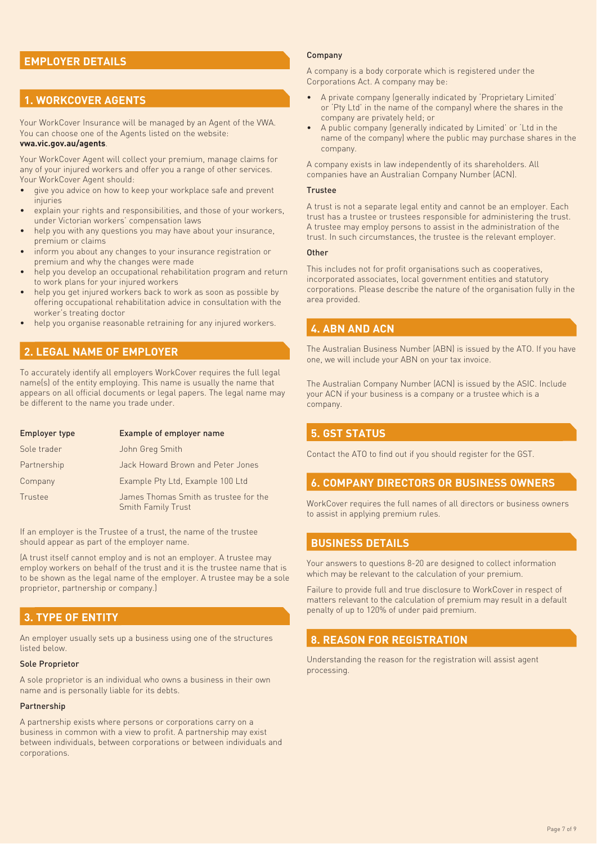#### **EMPLOYER DETAILS EMPLOYER DETAILS**

### **1. WORKCOVER AGENTS**

Your WorkCover Insurance will be managed by an Agent of the VWA. You can choose one of the Agents listed on the website: **vwa.vic.gov.au/agents**.

Your WorkCover Agent will collect your premium, manage claims for any of your injured workers and offer you a range of other services. Your WorkCover Agent should:

- give you advice on how to keep your workplace safe and prevent injuries
- explain your rights and responsibilities, and those of your workers, under Victorian workers' compensation laws
- help you with any questions you may have about your insurance, premium or claims
- inform you about any changes to your insurance registration or premium and why the changes were made
- help you develop an occupational rehabilitation program and return to work plans for your injured workers
- help you get injured workers back to work as soon as possible by offering occupational rehabilitation advice in consultation with the worker's treating doctor
- help you organise reasonable retraining for any injured workers.

### **2. LEGAL NAME OF EMPLOYER**

To accurately identify all employers WorkCover requires the full legal name(s) of the entity employing. This name is usually the name that appears on all official documents or legal papers. The legal name may be different to the name you trade under.

| Employer type | Example of employer name                                           |
|---------------|--------------------------------------------------------------------|
| Sole trader   | John Greg Smith                                                    |
| Partnership   | Jack Howard Brown and Peter Jones                                  |
| Company       | Example Pty Ltd, Example 100 Ltd                                   |
| Trustee       | James Thomas Smith as trustee for the<br><b>Smith Family Trust</b> |

If an employer is the Trustee of a trust, the name of the trustee should appear as part of the employer name.

(A trust itself cannot employ and is not an employer. A trustee may employ workers on behalf of the trust and it is the trustee name that is to be shown as the legal name of the employer. A trustee may be a sole proprietor, partnership or company.)

#### **3. TYPE OF ENTITY**

An employer usually sets up a business using one of the structures listed below.

#### Sole Proprietor

A sole proprietor is an individual who owns a business in their own name and is personally liable for its debts.

#### Partnership

A partnership exists where persons or corporations carry on a business in common with a view to profit. A partnership may exist between individuals, between corporations or between individuals and corporations.

#### Company

A company is a body corporate which is registered under the Corporations Act. A company may be:

- A private company (generally indicated by 'Proprietary Limited' or 'Pty Ltd' in the name of the company) where the shares in the company are privately held; or
- A public company (generally indicated by Limited' or 'Ltd in the name of the company) where the public may purchase shares in the company.

A company exists in law independently of its shareholders. All companies have an Australian Company Number (ACN).

#### **Trustee**

A trust is not a separate legal entity and cannot be an employer. Each trust has a trustee or trustees responsible for administering the trust. A trustee may employ persons to assist in the administration of the trust. In such circumstances, the trustee is the relevant employer.

#### **Other**

This includes not for profit organisations such as cooperatives, incorporated associates, local government entities and statutory corporations. Please describe the nature of the organisation fully in the area provided.

### **4. ABN AND ACN**

The Australian Business Number (ABN) is issued by the ATO. If you have one, we will include your ABN on your tax invoice.

The Australian Company Number (ACN) is issued by the ASIC. Include your ACN if your business is a company or a trustee which is a company.

### **5. GST STATUS**

Contact the ATO to find out if you should register for the GST.

### **6. COMPANY DIRECTORS OR BUSINESS OWNERS**

WorkCover requires the full names of all directors or business owners to assist in applying premium rules.

### **BUSINESS DETAILS**

Your answers to questions 8-20 are designed to collect information which may be relevant to the calculation of your premium.

Failure to provide full and true disclosure to WorkCover in respect of matters relevant to the calculation of premium may result in a default penalty of up to 120% of under paid premium.

### **8. REASON FOR REGISTRATION**

Understanding the reason for the registration will assist agent processing.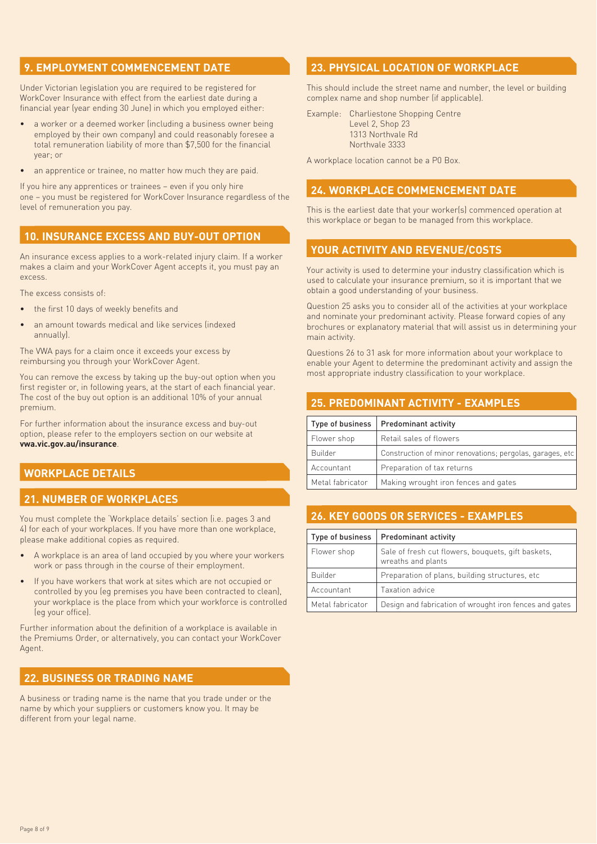### **9. EMPLOYMENT COMMENCEMENT DATE**

Under Victorian legislation you are required to be registered for WorkCover Insurance with effect from the earliest date during a financial year (year ending 30 June) in which you employed either:

- a worker or a deemed worker (including a business owner being employed by their own company) and could reasonably foresee a total remuneration liability of more than \$7,500 for the financial year; or
- an apprentice or trainee, no matter how much they are paid.

If you hire any apprentices or trainees – even if you only hire one – you must be registered for WorkCover Insurance regardless of the level of remuneration you pay.

#### **10. INSURANCE EXCESS AND BUY-OUT OPTION 10. INSURANCE EXCESS AND BUY-OUT OPTION**

An insurance excess applies to a work-related injury claim. If a worker makes a claim and your WorkCover Agent accepts it, you must pay an excess.

The excess consists of:

- the first 10 days of weekly benefits and
- an amount towards medical and like services (indexed annually).

The VWA pays for a claim once it exceeds your excess by reimbursing you through your WorkCover Agent.

You can remove the excess by taking up the buy-out option when you first register or, in following years, at the start of each financial year. The cost of the buy out option is an additional 10% of your annual premium.

For further information about the insurance excess and buy-out option, please refer to the employers section on our website at **vwa.vic.gov.au/insurance**.

### **WORKPLACE DETAILS**

## **21. NUMBER OF WORKPLACES**

You must complete the 'Workplace details' section (i.e. pages 3 and 4) for each of your workplaces. If you have more than one workplace, please make additional copies as required.

- A workplace is an area of land occupied by you where your workers work or pass through in the course of their employment.
- If you have workers that work at sites which are not occupied or controlled by you (eg premises you have been contracted to clean), your workplace is the place from which your workforce is controlled (eg your office).

Further information about the definition of a workplace is available in the Premiums Order, or alternatively, you can contact your WorkCover Agent.

### **22. BUSINESS OR TRADING NAME**

A business or trading name is the name that you trade under or the name by which your suppliers or customers know you. It may be different from your legal name.

### **23. PHYSICAL LOCATION OF WORKPLACE**

This should include the street name and number, the level or building complex name and shop number (if applicable).

Example: Charliestone Shopping Centre Level 2, Shop 23 1313 Northvale Rd Northvale 3333

A workplace location cannot be a P0 Box.

### **24. WORKPLACE COMMENCEMENT DATE**

This is the earliest date that your worker(s) commenced operation at this workplace or began to be managed from this workplace.

### **YOUR ACTIVITY AND REVENUE/COSTS**

Your activity is used to determine your industry classification which is used to calculate your insurance premium, so it is important that we obtain a good understanding of your business.

Question 25 asks you to consider all of the activities at your workplace and nominate your predominant activity. Please forward copies of any brochures or explanatory material that will assist us in determining your main activity.

Questions 26 to 31 ask for more information about your workplace to enable your Agent to determine the predominant activity and assign the most appropriate industry classification to your workplace.

| Type of business | <b>Predominant activity</b>                               |
|------------------|-----------------------------------------------------------|
| Flower shop      | Retail sales of flowers                                   |
| Builder          | Construction of minor renovations; pergolas, garages, etc |
| Accountant       | Preparation of tax returns                                |
| Metal fabricator | Making wrought iron fences and gates                      |

### 26. KEY GOODS OR SERVICES - EXAMPLES **26. KEY GOODS OR SERVICES - EXAMPLES**

| Type of business | <b>Predominant activity</b>                                              |  |  |
|------------------|--------------------------------------------------------------------------|--|--|
| Flower shop      | Sale of fresh cut flowers, bouquets, gift baskets,<br>wreaths and plants |  |  |
| Builder          | Preparation of plans, building structures, etc.                          |  |  |
| Accountant       | Taxation advice                                                          |  |  |
| Metal fabricator | Design and fabrication of wrought iron fences and gates                  |  |  |